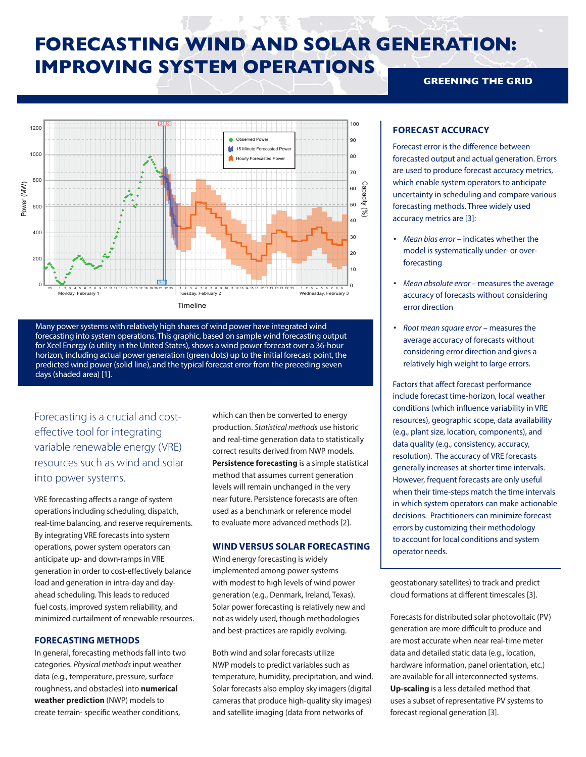# **FORECASTING WIND AND SOLAR GENERATION: IMPROVING SYSTEM OPERATIONS GREENING THE GRID**





Forecasting is a crucial and costeffective tool for integrating variable renewable energy (VRE) resources such as wind and solar into power systems.

VRE forecasting affects a range of system operations including scheduling, dispatch, real-time balancing, and reserve requirements. By integrating VRE forecasts into system operations, power system operators can anticipate up- and down-ramps in VRE generation in order to cost-effectively balance load and generation in intra-day and dayahead scheduling. This leads to reduced fuel costs, improved system reliability, and minimized curtailment of renewable resources.

## **FORECASTING METHODS**

In general, forecasting methods fall into two categories. *Physical methods* input weather data (e.g., temperature, pressure, surface roughness, and obstacles) into **numerical weather prediction** (NWP) models to create terrain- specific weather conditions,

which can then be converted to energy production. *Statistical methods* use historic and real-time generation data to statistically correct results derived from NWP models. **Persistence forecasting** is a simple statistical method that assumes current generation levels will remain unchanged in the very near future. Persistence forecasts are often used as a benchmark or reference model to evaluate more advanced methods [2].

# **WIND VERSUS SOLAR FORECASTING**

Wind energy forecasting is widely implemented among power systems with modest to high levels of wind power generation (e.g., Denmark, Ireland, Texas). Solar power forecasting is relatively new and not as widely used, though methodologies and best-practices are rapidly evolving.

Both wind and solar forecasts utilize NWP models to predict variables such as temperature, humidity, precipitation, and wind. Solar forecasts also employ sky imagers (digital cameras that produce high-quality sky images) and satellite imaging (data from networks of

**FORECAST ACCURACY**

Forecast error is the difference between forecasted output and actual generation. Errors are used to produce forecast accuracy metrics, which enable system operators to anticipate uncertainty in scheduling and compare various forecasting methods. Three widely used accuracy metrics are [3]:

- *Mean bias error* indicates whether the model is systematically under- or overforecasting
- *Mean absolute error*  measures the average accuracy of forecasts without considering error direction
- *Root mean square error* measures the average accuracy of forecasts without considering error direction and gives a relatively high weight to large errors.

Factors that affect forecast performance include forecast time-horizon, local weather conditions (which influence variability in VRE resources), geographic scope, data availability (e.g., plant size, location, components), and data quality (e.g., consistency, accuracy, resolution). The accuracy of VRE forecasts generally increases at shorter time intervals. However, frequent forecasts are only useful when their time-steps match the time intervals in which system operators can make actionable decisions. Practitioners can minimize forecast errors by customizing their methodology to account for local conditions and system operator needs.

geostationary satellites) to track and predict cloud formations at different timescales [3].

Forecasts for distributed solar photovoltaic (PV) generation are more difficult to produce and are most accurate when near real-time meter data and detailed static data (e.g., location, hardware information, panel orientation, etc.) are available for all interconnected systems. **Up-scaling** is a less detailed method that uses a subset of representative PV systems to forecast regional generation [3].